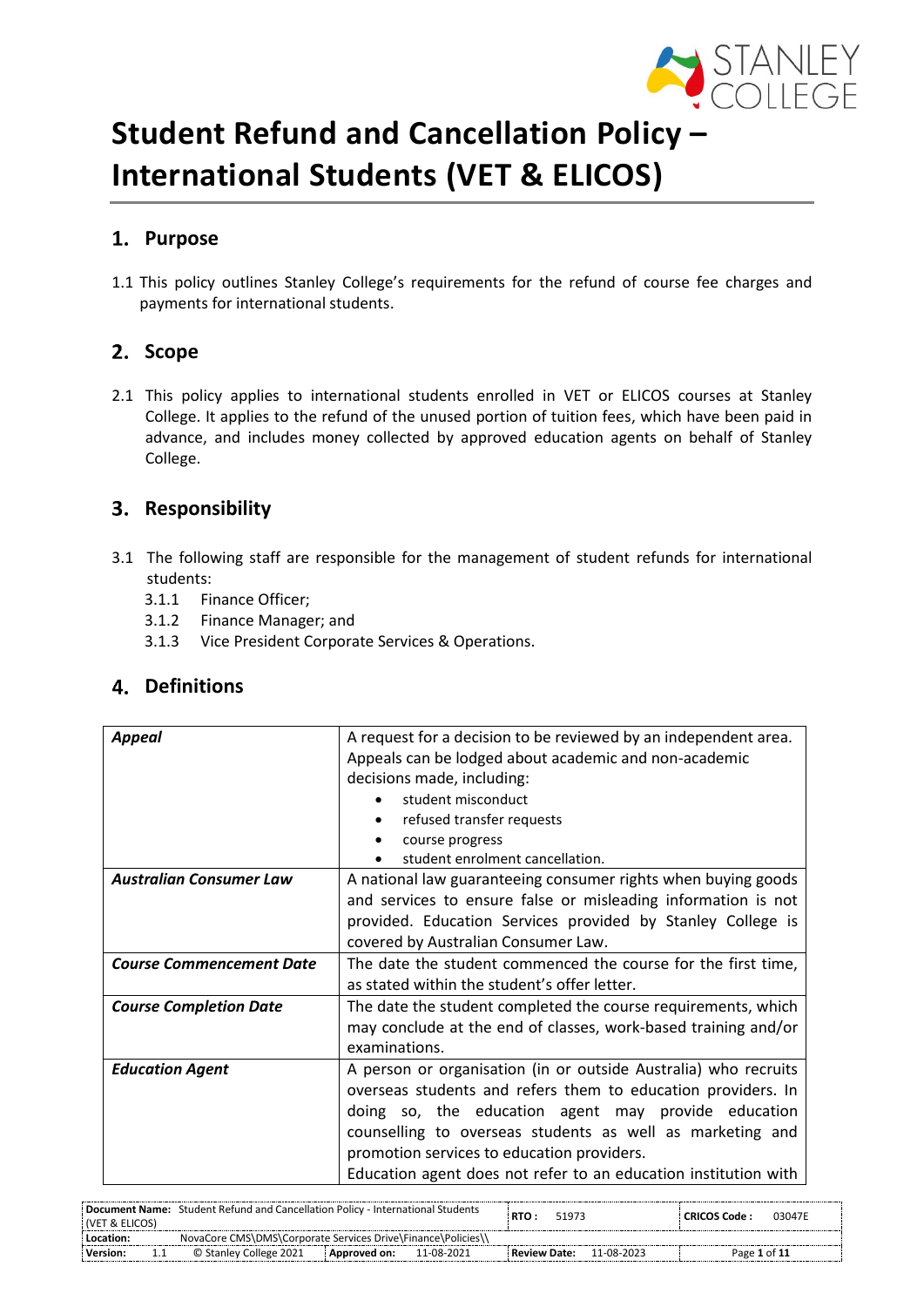

# **Student Refund and Cancellation Policy – International Students (VET & ELICOS)**

# **Purpose**

1.1 This policy outlines Stanley College's requirements for the refund of course fee charges and payments for international students.

# 2. Scope

2.1 This policy applies to international students enrolled in VET or ELICOS courses at Stanley College. It applies to the refund of the unused portion of tuition fees, which have been paid in advance, and includes money collected by approved education agents on behalf of Stanley College.

# **Responsibility**

- 3.1 The following staff are responsible for the management of student refunds for international students:
	- 3.1.1 Finance Officer;
	- 3.1.2 Finance Manager; and
	- 3.1.3 Vice President Corporate Services & Operations.

# **Definitions**

| <b>Appeal</b>                   | A request for a decision to be reviewed by an independent area. |  |  |  |  |  |  |  |
|---------------------------------|-----------------------------------------------------------------|--|--|--|--|--|--|--|
|                                 | Appeals can be lodged about academic and non-academic           |  |  |  |  |  |  |  |
|                                 | decisions made, including:                                      |  |  |  |  |  |  |  |
|                                 | student misconduct                                              |  |  |  |  |  |  |  |
|                                 | refused transfer requests                                       |  |  |  |  |  |  |  |
|                                 | course progress                                                 |  |  |  |  |  |  |  |
|                                 | student enrolment cancellation.                                 |  |  |  |  |  |  |  |
| <b>Australian Consumer Law</b>  | A national law guaranteeing consumer rights when buying goods   |  |  |  |  |  |  |  |
|                                 | and services to ensure false or misleading information is not   |  |  |  |  |  |  |  |
|                                 | provided. Education Services provided by Stanley College is     |  |  |  |  |  |  |  |
|                                 | covered by Australian Consumer Law.                             |  |  |  |  |  |  |  |
| <b>Course Commencement Date</b> | The date the student commenced the course for the first time,   |  |  |  |  |  |  |  |
|                                 | as stated within the student's offer letter.                    |  |  |  |  |  |  |  |
| <b>Course Completion Date</b>   | The date the student completed the course requirements, which   |  |  |  |  |  |  |  |
|                                 | may conclude at the end of classes, work-based training and/or  |  |  |  |  |  |  |  |
|                                 | examinations.                                                   |  |  |  |  |  |  |  |
| <b>Education Agent</b>          | A person or organisation (in or outside Australia) who recruits |  |  |  |  |  |  |  |
|                                 | overseas students and refers them to education providers. In    |  |  |  |  |  |  |  |
|                                 | doing so, the education agent may provide education             |  |  |  |  |  |  |  |
|                                 | counselling to overseas students as well as marketing and       |  |  |  |  |  |  |  |
|                                 | promotion services to education providers.                      |  |  |  |  |  |  |  |
|                                 | Education agent does not refer to an education institution with |  |  |  |  |  |  |  |

| I (VET & ELICOS) | <b>Document Name:</b> Student Refund and Cancellation Policy - International Students |                |            | RTO :               | 51973 |            | <b>CRICOS Code:</b> | 03047E |
|------------------|---------------------------------------------------------------------------------------|----------------|------------|---------------------|-------|------------|---------------------|--------|
| Location:        | NovaCore CMS\DMS\Corporate Services Drive\Finance\Policies\                           |                |            |                     |       |            |                     |        |
| <b>Version:</b>  | © Stanley College 2021                                                                | : Approved on: | 11-08-2021 | <b>Review Date:</b> |       | 11-08-2023 | Page 1 of 11        |        |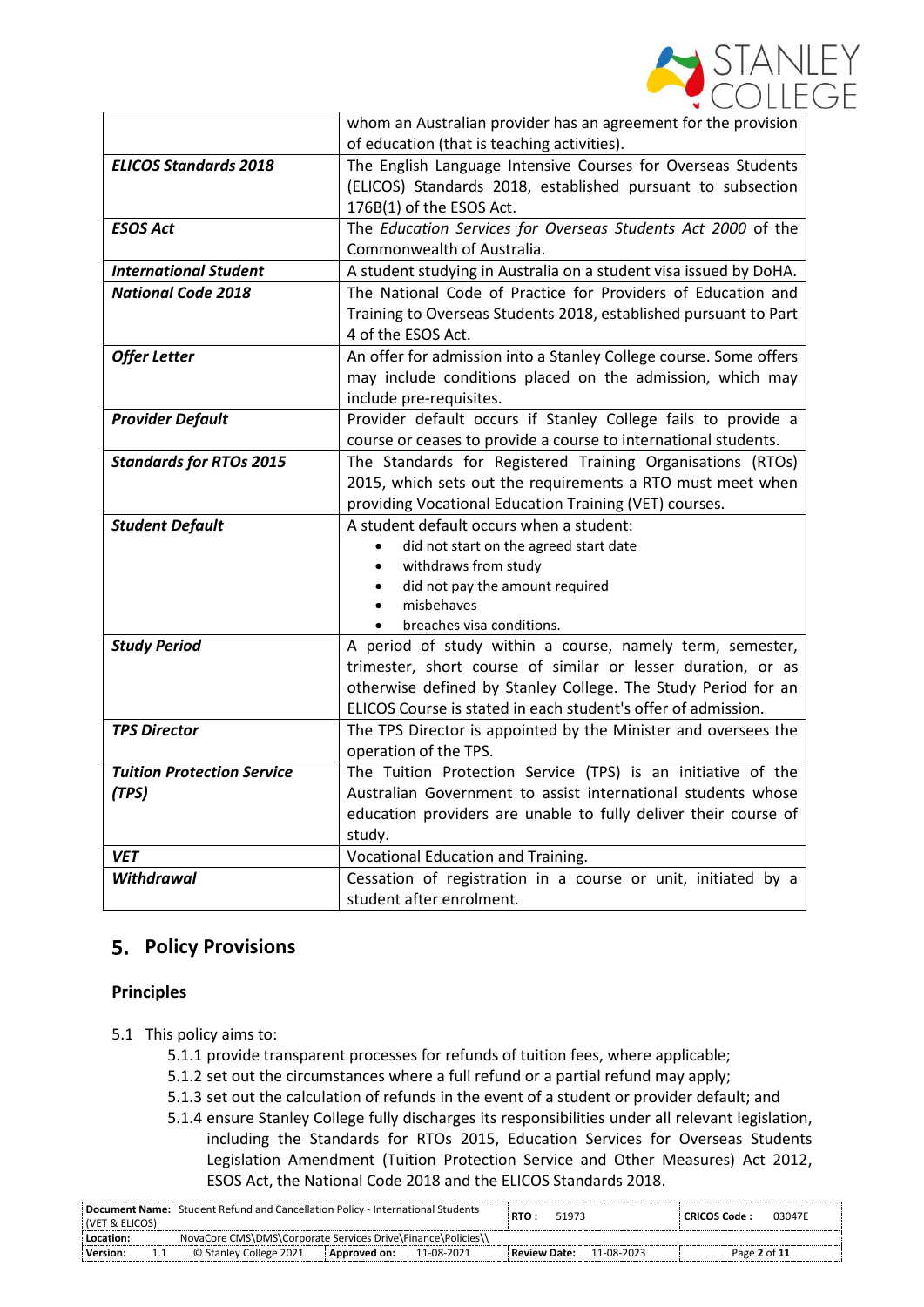

|                                   | whom an Australian provider has an agreement for the provision    |
|-----------------------------------|-------------------------------------------------------------------|
|                                   | of education (that is teaching activities).                       |
| <b>ELICOS Standards 2018</b>      | The English Language Intensive Courses for Overseas Students      |
|                                   | (ELICOS) Standards 2018, established pursuant to subsection       |
|                                   | 176B(1) of the ESOS Act.                                          |
| <b>ESOS Act</b>                   | The Education Services for Overseas Students Act 2000 of the      |
|                                   | Commonwealth of Australia.                                        |
| <b>International Student</b>      | A student studying in Australia on a student visa issued by DoHA. |
| <b>National Code 2018</b>         | The National Code of Practice for Providers of Education and      |
|                                   | Training to Overseas Students 2018, established pursuant to Part  |
|                                   | 4 of the ESOS Act.                                                |
| <b>Offer Letter</b>               | An offer for admission into a Stanley College course. Some offers |
|                                   | may include conditions placed on the admission, which may         |
|                                   | include pre-requisites.                                           |
| <b>Provider Default</b>           | Provider default occurs if Stanley College fails to provide a     |
|                                   | course or ceases to provide a course to international students.   |
| <b>Standards for RTOs 2015</b>    | The Standards for Registered Training Organisations (RTOs)        |
|                                   | 2015, which sets out the requirements a RTO must meet when        |
|                                   | providing Vocational Education Training (VET) courses.            |
| <b>Student Default</b>            | A student default occurs when a student:                          |
|                                   | did not start on the agreed start date                            |
|                                   | withdraws from study<br>٠                                         |
|                                   | did not pay the amount required<br>$\bullet$                      |
|                                   | misbehaves<br>$\bullet$                                           |
|                                   | breaches visa conditions.                                         |
| <b>Study Period</b>               | A period of study within a course, namely term, semester,         |
|                                   | trimester, short course of similar or lesser duration, or as      |
|                                   | otherwise defined by Stanley College. The Study Period for an     |
|                                   | ELICOS Course is stated in each student's offer of admission.     |
| <b>TPS Director</b>               | The TPS Director is appointed by the Minister and oversees the    |
|                                   | operation of the TPS.                                             |
| <b>Tuition Protection Service</b> | The Tuition Protection Service (TPS) is an initiative of the      |
| (TPS)                             | Australian Government to assist international students whose      |
|                                   | education providers are unable to fully deliver their course of   |
|                                   | study.                                                            |
| <b>VET</b>                        | Vocational Education and Training.                                |
| Withdrawal                        | Cessation of registration in a course or unit, initiated by a     |
|                                   | student after enrolment.                                          |

# **Policy Provisions**

## **Principles**

- 5.1 This policy aims to:
	- 5.1.1 provide transparent processes for refunds of tuition fees, where applicable;
	- 5.1.2 set out the circumstances where a full refund or a partial refund may apply;
	- 5.1.3 set out the calculation of refunds in the event of a student or provider default; and
	- 5.1.4 ensure Stanley College fully discharges its responsibilities under all relevant legislation, including the Standards for RTOs 2015, Education Services for Overseas Students Legislation Amendment (Tuition Protection Service and Other Measures) Act 2012, ESOS Act, the National Code 2018 and the ELICOS Standards 2018.

| (VET & ELICOS) | Document Name: Student Refund and Cancellation Policy - International Students |                |            | RTO :          | 51973 |            | : CRICOS Code : | 03047F |
|----------------|--------------------------------------------------------------------------------|----------------|------------|----------------|-------|------------|-----------------|--------|
| Location:      | NovaCore CMS\DMS\Corporate Services Drive\Finance\Policies\\                   |                |            |                |       |            |                 |        |
| : Version:     | © Stanley College 2021                                                         | : Approved on: | 11-08-2021 | : Review Date: |       | 11-08-2023 | Page 2 of 11    |        |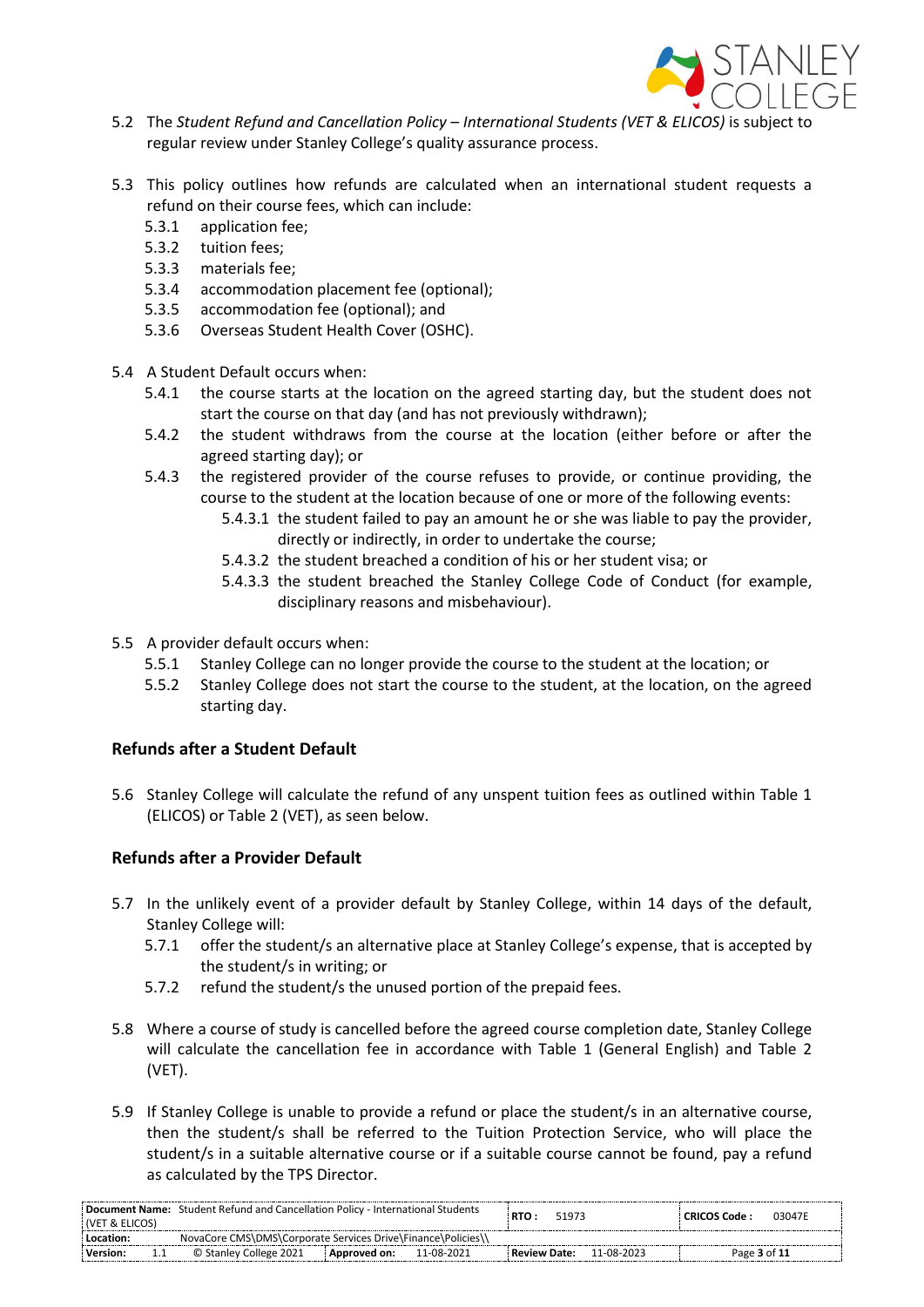

- 5.2 The *Student Refund and Cancellation Policy – International Students (VET & ELICOS)* is subject to regular review under Stanley College's quality assurance process.
- 5.3 This policy outlines how refunds are calculated when an international student requests a refund on their course fees, which can include:
	- 5.3.1 application fee;
	- 5.3.2 tuition fees;
	- 5.3.3 materials fee;
	- 5.3.4 accommodation placement fee (optional);
	- 5.3.5 accommodation fee (optional); and
	- 5.3.6 Overseas Student Health Cover (OSHC).
- 5.4 A Student Default occurs when:
	- 5.4.1 the course starts at the location on the agreed starting day, but the student does not start the course on that day (and has not previously withdrawn);
	- 5.4.2 the student withdraws from the course at the location (either before or after the agreed starting day); or
	- 5.4.3 the registered provider of the course refuses to provide, or continue providing, the course to the student at the location because of one or more of the following events:
		- 5.4.3.1 the student failed to pay an amount he or she was liable to pay the provider, directly or indirectly, in order to undertake the course;
		- 5.4.3.2 the student breached a condition of his or her student visa; or
		- 5.4.3.3 the student breached the Stanley College Code of Conduct (for example, disciplinary reasons and misbehaviour).
- 5.5 A provider default occurs when:
	- 5.5.1 Stanley College can no longer provide the course to the student at the location; or
	- 5.5.2 Stanley College does not start the course to the student, at the location, on the agreed starting day.

## **Refunds after a Student Default**

5.6 Stanley College will calculate the refund of any unspent tuition fees as outlined within Table 1 (ELICOS) or Table 2 (VET), as seen below.

## **Refunds after a Provider Default**

- 5.7 In the unlikely event of a provider default by Stanley College, within 14 days of the default, Stanley College will:
	- 5.7.1 offer the student/s an alternative place at Stanley College's expense, that is accepted by the student/s in writing; or
	- 5.7.2 refund the student/s the unused portion of the prepaid fees.
- 5.8 Where a course of study is cancelled before the agreed course completion date, Stanley College will calculate the cancellation fee in accordance with Table 1 (General English) and Table 2 (VET).
- 5.9 If Stanley College is unable to provide a refund or place the student/s in an alternative course, then the student/s shall be referred to the Tuition Protection Service, who will place the student/s in a suitable alternative course or if a suitable course cannot be found, pay a refund as calculated by the TPS Director.

| (VET & ELICOS)                                                                                                            |  |
|---------------------------------------------------------------------------------------------------------------------------|--|
| NovaCore CMS\DMS\Corporate Services Drive\Finance\Policies\\<br>Location:                                                 |  |
| Version:<br>11-08-2023<br>© Stanley College 2021<br>Page 3 of 11<br>11-08-2021<br>: Review Date:<br>: Approved on:<br>1.1 |  |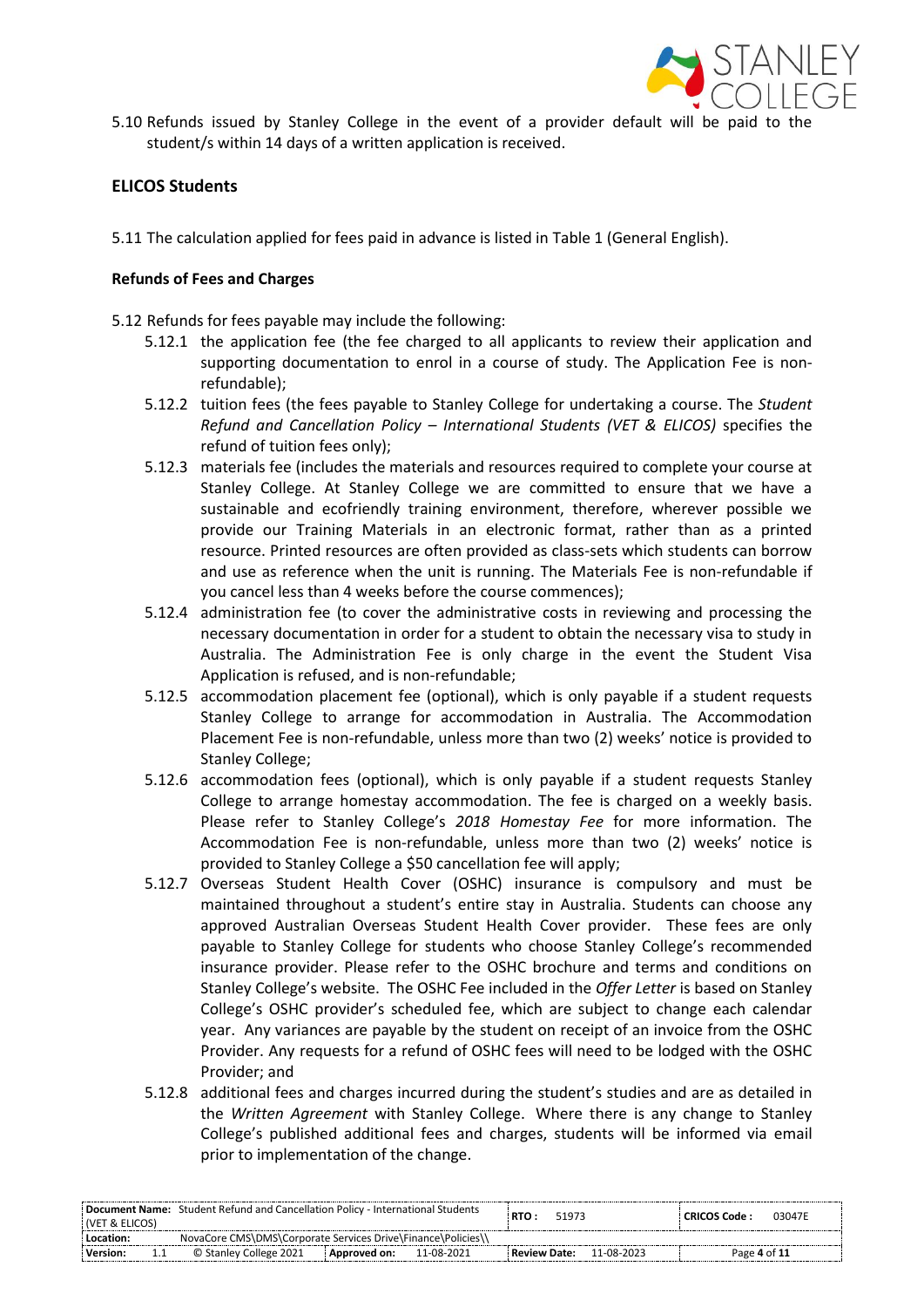

5.10 Refunds issued by Stanley College in the event of a provider default will be paid to the student/s within 14 days of a written application is received.

## **ELICOS Students**

5.11 The calculation applied for fees paid in advance is listed in Table 1 (General English).

#### **Refunds of Fees and Charges**

- 5.12 Refunds for fees payable may include the following:
	- 5.12.1 the application fee (the fee charged to all applicants to review their application and supporting documentation to enrol in a course of study. The Application Fee is nonrefundable);
	- 5.12.2 tuition fees (the fees payable to Stanley College for undertaking a course. The *Student Refund and Cancellation Policy – International Students (VET & ELICOS)* specifies the refund of tuition fees only);
	- 5.12.3 materials fee (includes the materials and resources required to complete your course at Stanley College. At Stanley College we are committed to ensure that we have a sustainable and ecofriendly training environment, therefore, wherever possible we provide our Training Materials in an electronic format, rather than as a printed resource. Printed resources are often provided as class-sets which students can borrow and use as reference when the unit is running. The Materials Fee is non-refundable if you cancel less than 4 weeks before the course commences);
	- 5.12.4 administration fee (to cover the administrative costs in reviewing and processing the necessary documentation in order for a student to obtain the necessary visa to study in Australia. The Administration Fee is only charge in the event the Student Visa Application is refused, and is non-refundable;
	- 5.12.5 accommodation placement fee (optional), which is only payable if a student requests Stanley College to arrange for accommodation in Australia. The Accommodation Placement Fee is non-refundable, unless more than two (2) weeks' notice is provided to Stanley College;
	- 5.12.6 accommodation fees (optional), which is only payable if a student requests Stanley College to arrange homestay accommodation. The fee is charged on a weekly basis. Please refer to Stanley College's *2018 Homestay Fee* for more information. The Accommodation Fee is non-refundable, unless more than two (2) weeks' notice is provided to Stanley College a \$50 cancellation fee will apply;
	- 5.12.7 Overseas Student Health Cover (OSHC) insurance is compulsory and must be maintained throughout a student's entire stay in Australia. Students can choose any approved Australian Overseas Student Health Cover provider. These fees are only payable to Stanley College for students who choose Stanley College's recommended insurance provider. Please refer to the OSHC brochure and terms and conditions on Stanley College's website. The OSHC Fee included in the *Offer Letter* is based on Stanley College's OSHC provider's scheduled fee, which are subject to change each calendar year. Any variances are payable by the student on receipt of an invoice from the OSHC Provider. Any requests for a refund of OSHC fees will need to be lodged with the OSHC Provider; and
	- 5.12.8 additional fees and charges incurred during the student's studies and are as detailed in the *Written Agreement* with Stanley College. Where there is any change to Stanley College's published additional fees and charges, students will be informed via email prior to implementation of the change.

| (VET & ELICOS)  | <b>Document Name:</b> Student Refund and Cancellation Policy - International Students |                |            | RTO :          | 51973 |            | : CRICOS Code : | 03047E |
|-----------------|---------------------------------------------------------------------------------------|----------------|------------|----------------|-------|------------|-----------------|--------|
| Location:       | NovaCore CMS\DMS\Corporate Services Drive\Finance\Policies\\                          |                |            |                |       |            |                 |        |
| Version:<br>1.1 | © Stanley College 2021                                                                | : Approved on: | 11-08-2021 | : Review Date: |       | 11-08-2023 | Page 4 of 11    |        |
|                 |                                                                                       |                |            |                |       |            |                 |        |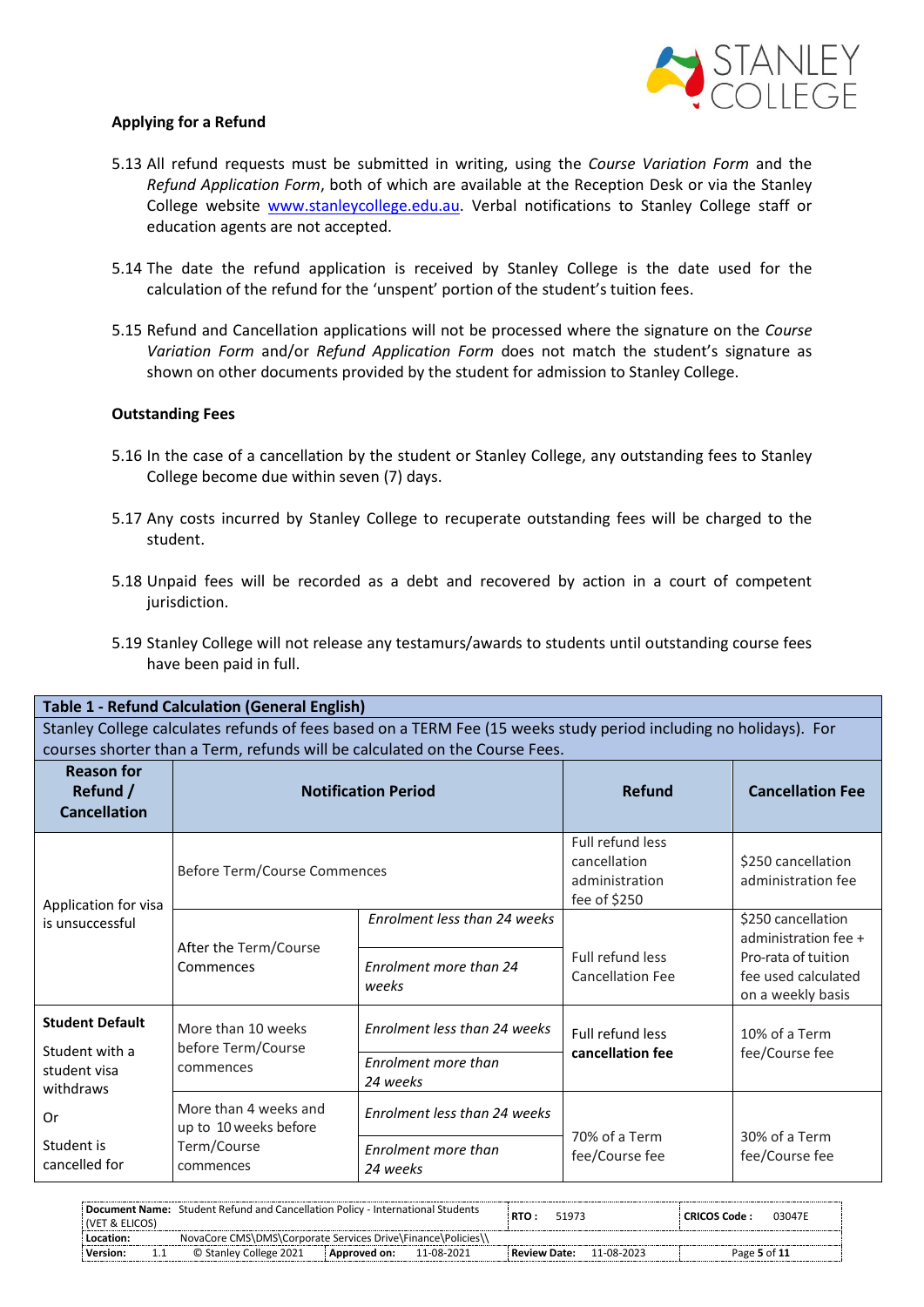

#### **Applying for a Refund**

- 5.13 All refund requests must be submitted in writing, using the *Course Variation Form* and the *Refund Application Form*, both of which are available at the Reception Desk or via the Stanley College website [www.stanleycollege.edu.au.](http://www.stanleycollege.edu.au/) Verbal notifications to Stanley College staff or education agents are not accepted.
- 5.14 The date the refund application is received by Stanley College is the date used for the calculation of the refund for the 'unspent' portion of the student's tuition fees.
- 5.15 Refund and Cancellation applications will not be processed where the signature on the *Course Variation Form* and/or *Refund Application Form* does not match the student's signature as shown on other documents provided by the student for admission to Stanley College.

#### **Outstanding Fees**

- 5.16 In the case of a cancellation by the student or Stanley College, any outstanding fees to Stanley College become due within seven (7) days.
- 5.17 Any costs incurred by Stanley College to recuperate outstanding fees will be charged to the student.
- 5.18 Unpaid fees will be recorded as a debt and recovered by action in a court of competent jurisdiction.
- 5.19 Stanley College will not release any testamurs/awards to students until outstanding course fees have been paid in full.

| <b>Table 1 - Refund Calculation (General English)</b><br>Stanley College calculates refunds of fees based on a TERM Fee (15 weeks study period including no holidays). For |                                                |                                        |                                                                    |                                                                 |  |  |  |  |
|----------------------------------------------------------------------------------------------------------------------------------------------------------------------------|------------------------------------------------|----------------------------------------|--------------------------------------------------------------------|-----------------------------------------------------------------|--|--|--|--|
| courses shorter than a Term, refunds will be calculated on the Course Fees.                                                                                                |                                                |                                        |                                                                    |                                                                 |  |  |  |  |
| <b>Reason for</b><br>Refund /<br><b>Cancellation</b>                                                                                                                       |                                                | <b>Notification Period</b>             | Refund                                                             | <b>Cancellation Fee</b>                                         |  |  |  |  |
| Application for visa<br>is unsuccessful                                                                                                                                    | Before Term/Course Commences                   |                                        | Full refund less<br>cancellation<br>administration<br>fee of \$250 | \$250 cancellation<br>administration fee                        |  |  |  |  |
|                                                                                                                                                                            | After the Term/Course                          | Enrolment less than 24 weeks           |                                                                    | \$250 cancellation<br>administration fee +                      |  |  |  |  |
|                                                                                                                                                                            | Commences                                      | Enrolment more than 24<br>weeks        | Full refund less<br><b>Cancellation Fee</b>                        | Pro-rata of tuition<br>fee used calculated<br>on a weekly basis |  |  |  |  |
| <b>Student Default</b><br>Student with a                                                                                                                                   | More than 10 weeks<br>before Term/Course       | Enrolment less than 24 weeks           | Full refund less<br>cancellation fee                               | 10% of a Term<br>fee/Course fee                                 |  |  |  |  |
| student visa<br>withdraws                                                                                                                                                  | commences                                      | Enrolment more than<br>24 weeks        |                                                                    |                                                                 |  |  |  |  |
| Or                                                                                                                                                                         | More than 4 weeks and<br>up to 10 weeks before | Enrolment less than 24 weeks           | 70% of a Term                                                      | 30% of a Term                                                   |  |  |  |  |
| Student is<br>cancelled for                                                                                                                                                | Term/Course<br>commences                       | <b>Fnrolment more than</b><br>24 weeks | fee/Course fee                                                     | fee/Course fee                                                  |  |  |  |  |

| <b>(VET &amp; ELICOS)</b> | <b>Document Name:</b> Student Refund and Cancellation Policy - International Students |                |            | RTO:                | 51973 |            | : CRICOS Code : | 03047E |
|---------------------------|---------------------------------------------------------------------------------------|----------------|------------|---------------------|-------|------------|-----------------|--------|
| Location:                 | NovaCore CMS\DMS\Corporate Services Drive\Finance\Policies\\                          |                |            |                     |       |            |                 |        |
| Version:                  | © Stanley College 2021                                                                | : Approved on: | 11-08-2021 | <b>Review Date:</b> |       | 11-08-2023 | Page 5 of 11    |        |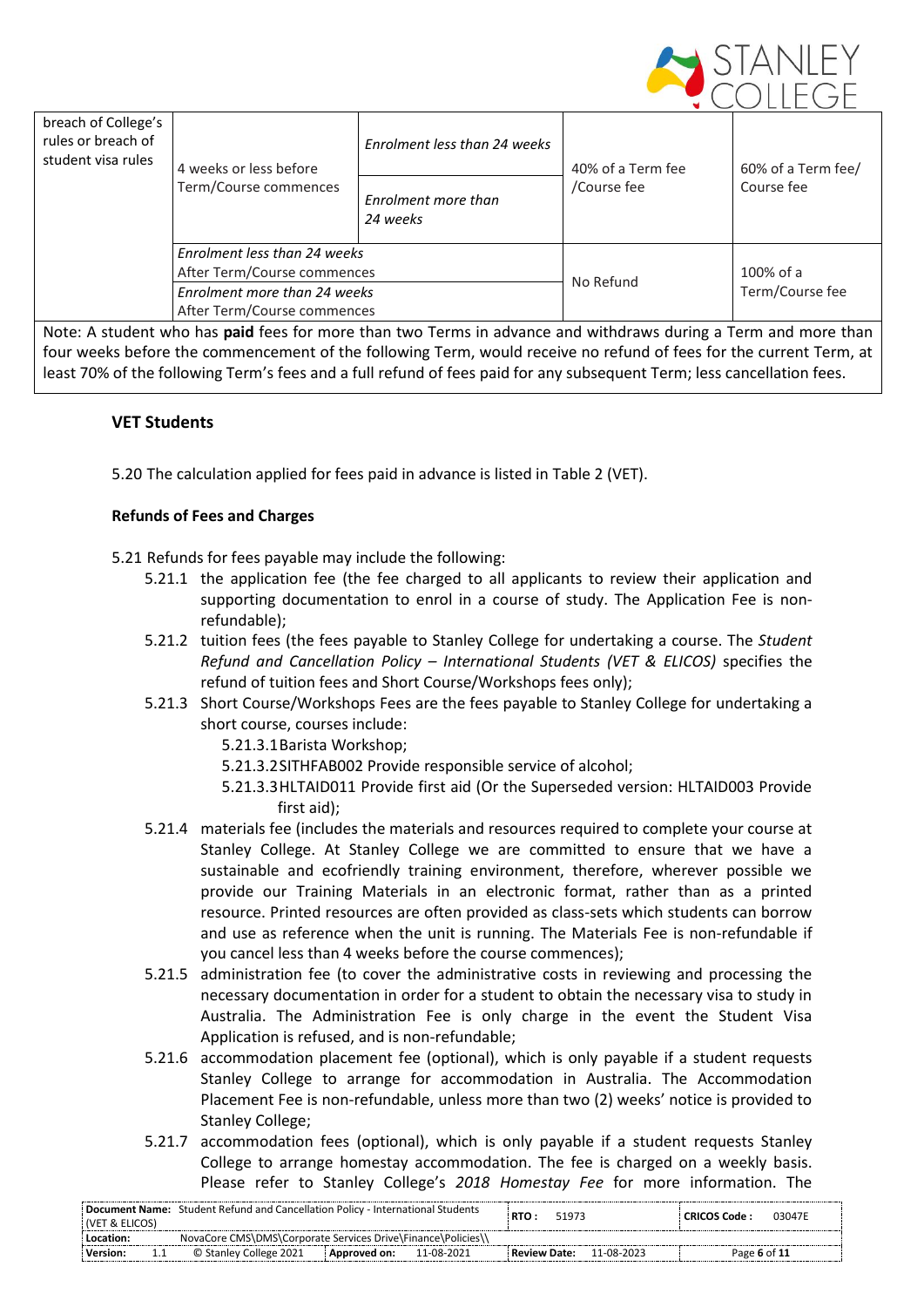

| breach of College's<br>rules or breach of<br>student visa rules | 4 weeks or less before<br>Term/Course commences | Enrolment less than 24 weeks    | 40% of a Term fee | 60% of a Term fee/ |  |
|-----------------------------------------------------------------|-------------------------------------------------|---------------------------------|-------------------|--------------------|--|
|                                                                 |                                                 | Enrolment more than<br>24 weeks | /Course fee       | Course fee         |  |
|                                                                 | Enrolment less than 24 weeks                    |                                 |                   |                    |  |
|                                                                 | After Term/Course commences                     |                                 | No Refund         | 100% of a          |  |
|                                                                 | Enrolment more than 24 weeks                    |                                 |                   | Term/Course fee    |  |
|                                                                 | After Term/Course commences                     |                                 |                   |                    |  |

Note: A student who has **paid** fees for more than two Terms in advance and withdraws during a Term and more than four weeks before the commencement of the following Term, would receive no refund of fees for the current Term, at least 70% of the following Term's fees and a full refund of fees paid for any subsequent Term; less cancellation fees.

## **VET Students**

5.20 The calculation applied for fees paid in advance is listed in Table 2 (VET).

#### **Refunds of Fees and Charges**

- 5.21 Refunds for fees payable may include the following:
	- 5.21.1 the application fee (the fee charged to all applicants to review their application and supporting documentation to enrol in a course of study. The Application Fee is nonrefundable);
	- 5.21.2 tuition fees (the fees payable to Stanley College for undertaking a course. The *Student Refund and Cancellation Policy – International Students (VET & ELICOS)* specifies the refund of tuition fees and Short Course/Workshops fees only);
	- 5.21.3 Short Course/Workshops Fees are the fees payable to Stanley College for undertaking a short course, courses include:
		- 5.21.3.1Barista Workshop;
		- 5.21.3.2SITHFAB002 Provide responsible service of alcohol;
		- 5.21.3.3HLTAID011 Provide first aid (Or the Superseded version: HLTAID003 Provide first aid);
	- 5.21.4 materials fee (includes the materials and resources required to complete your course at Stanley College. At Stanley College we are committed to ensure that we have a sustainable and ecofriendly training environment, therefore, wherever possible we provide our Training Materials in an electronic format, rather than as a printed resource. Printed resources are often provided as class-sets which students can borrow and use as reference when the unit is running. The Materials Fee is non-refundable if you cancel less than 4 weeks before the course commences);
	- 5.21.5 administration fee (to cover the administrative costs in reviewing and processing the necessary documentation in order for a student to obtain the necessary visa to study in Australia. The Administration Fee is only charge in the event the Student Visa Application is refused, and is non-refundable;
	- 5.21.6 accommodation placement fee (optional), which is only payable if a student requests Stanley College to arrange for accommodation in Australia. The Accommodation Placement Fee is non-refundable, unless more than two (2) weeks' notice is provided to Stanley College;
	- 5.21.7 accommodation fees (optional), which is only payable if a student requests Stanley College to arrange homestay accommodation. The fee is charged on a weekly basis. Please refer to Stanley College's *2018 Homestay Fee* for more information. The

| <b>(VET &amp; ELICOS)</b> | <b>Document Name:</b> Student Refund and Cancellation Policy - International Students |                |            | RTO :               | 51973 |            | : CRICOS Code : | 03047E |
|---------------------------|---------------------------------------------------------------------------------------|----------------|------------|---------------------|-------|------------|-----------------|--------|
| Location:                 | NovaCore CMS\DMS\Corporate Services Drive\Finance\Policies\\                          |                |            |                     |       |            |                 |        |
| <b>Version:</b>           | © Stanley College 2021                                                                | : Approved on: | 11-08-2021 | <b>Review Date:</b> |       | 11-08-2023 | Page 6 of 11    |        |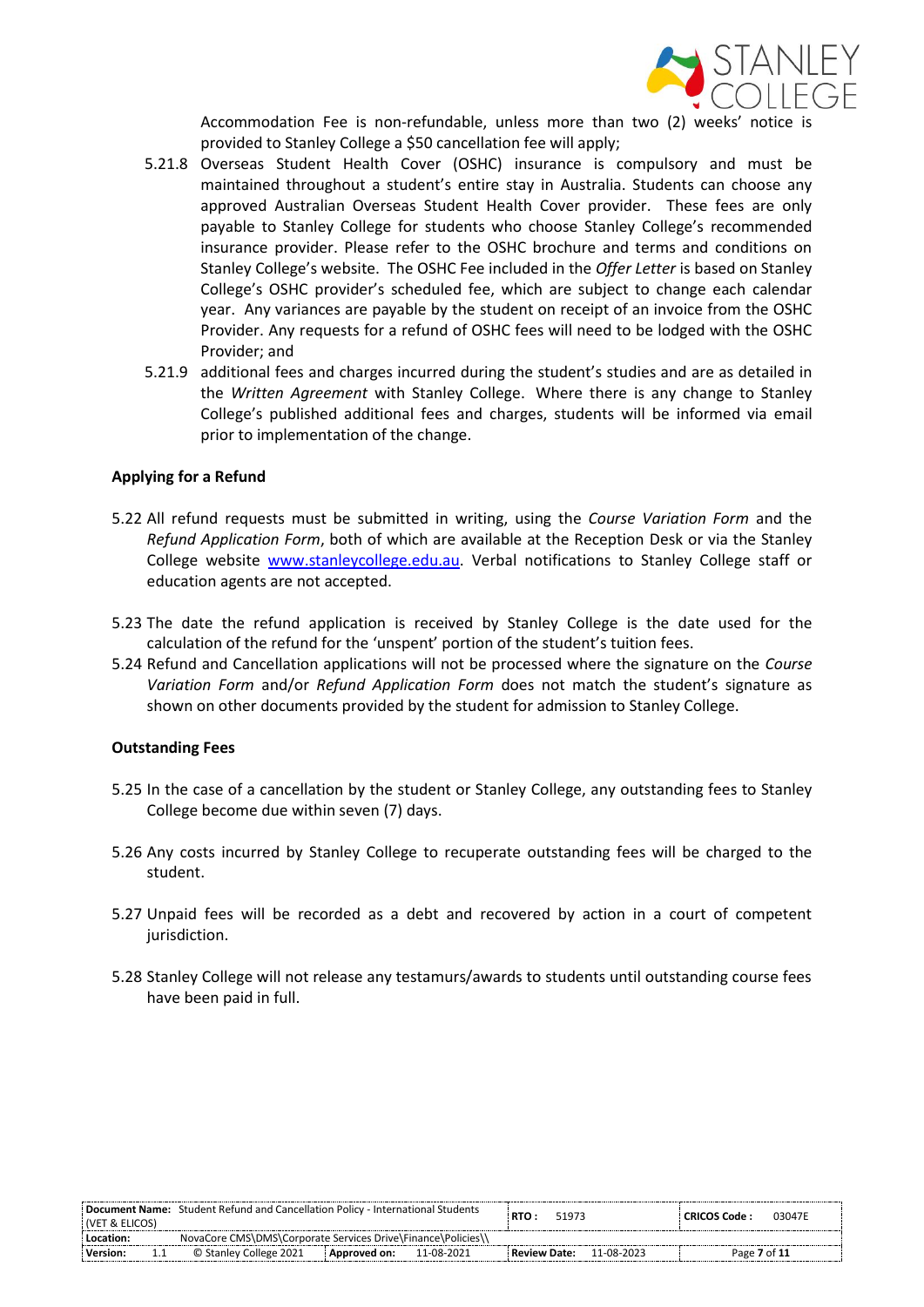

Accommodation Fee is non-refundable, unless more than two (2) weeks' notice provided to Stanley College a \$50 cancellation fee will apply;

- 5.21.8 Overseas Student Health Cover (OSHC) insurance is compulsory and must be maintained throughout a student's entire stay in Australia. Students can choose any approved Australian Overseas Student Health Cover provider. These fees are only payable to Stanley College for students who choose Stanley College's recommended insurance provider. Please refer to the OSHC brochure and terms and conditions on Stanley College's website. The OSHC Fee included in the *Offer Letter* is based on Stanley College's OSHC provider's scheduled fee, which are subject to change each calendar year. Any variances are payable by the student on receipt of an invoice from the OSHC Provider. Any requests for a refund of OSHC fees will need to be lodged with the OSHC Provider; and
- 5.21.9 additional fees and charges incurred during the student's studies and are as detailed in the *Written Agreement* with Stanley College. Where there is any change to Stanley College's published additional fees and charges, students will be informed via email prior to implementation of the change.

#### **Applying for a Refund**

- 5.22 All refund requests must be submitted in writing, using the *Course Variation Form* and the *Refund Application Form*, both of which are available at the Reception Desk or via the Stanley College website [www.stanleycollege.edu.au.](http://www.stanleycollege.edu.au/) Verbal notifications to Stanley College staff or education agents are not accepted.
- 5.23 The date the refund application is received by Stanley College is the date used for the calculation of the refund for the 'unspent' portion of the student's tuition fees.
- 5.24 Refund and Cancellation applications will not be processed where the signature on the *Course Variation Form* and/or *Refund Application Form* does not match the student's signature as shown on other documents provided by the student for admission to Stanley College.

#### **Outstanding Fees**

- 5.25 In the case of a cancellation by the student or Stanley College, any outstanding fees to Stanley College become due within seven (7) days.
- 5.26 Any costs incurred by Stanley College to recuperate outstanding fees will be charged to the student.
- 5.27 Unpaid fees will be recorded as a debt and recovered by action in a court of competent jurisdiction.
- 5.28 Stanley College will not release any testamurs/awards to students until outstanding course fees have been paid in full.

| : (VET & ELICOS) | <b>Document Name:</b> Student Refund and Cancellation Policy - International Students |                |            | RTO :          | 51973 |            | : CRICOS Code : | 03047E |
|------------------|---------------------------------------------------------------------------------------|----------------|------------|----------------|-------|------------|-----------------|--------|
| : Location:      | NovaCore CMS\DMS\Corporate Services Drive\Finance\Policies\\                          |                |            |                |       |            |                 |        |
| Version:         | © Stanley College 2021                                                                | : Approved on: | 11-08-2021 | : Review Date: |       | 11-08-2023 | Page 7 of 11    |        |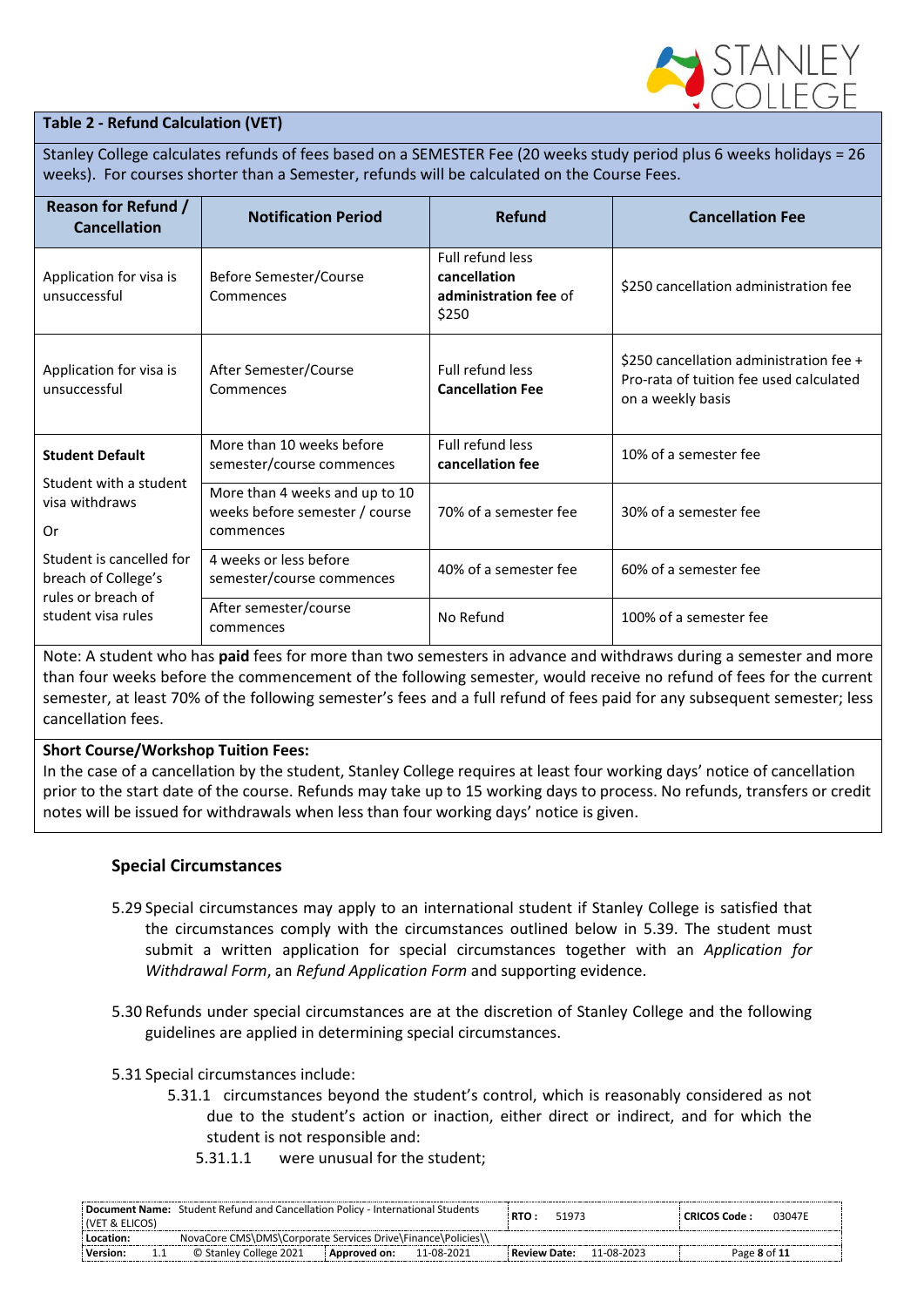

#### **Table 2 - Refund Calculation (VET)**

Stanley College calculates refunds of fees based on a SEMESTER Fee (20 weeks study period plus 6 weeks holidays = 26 weeks). For courses shorter than a Semester, refunds will be calculated on the Course Fees.

| <b>Reason for Refund /</b><br><b>Cancellation</b>                     | <b>Notification Period</b>                                                    | <b>Refund</b>                                                      | <b>Cancellation Fee</b>                                                                                 |
|-----------------------------------------------------------------------|-------------------------------------------------------------------------------|--------------------------------------------------------------------|---------------------------------------------------------------------------------------------------------|
| Application for visa is<br>unsuccessful                               | Before Semester/Course<br>Commences                                           | Full refund less<br>cancellation<br>administration fee of<br>\$250 | \$250 cancellation administration fee                                                                   |
| Application for visa is<br>unsuccessful                               | After Semester/Course<br>Commences                                            | <b>Full refund less</b><br><b>Cancellation Fee</b>                 | \$250 cancellation administration fee +<br>Pro-rata of tuition fee used calculated<br>on a weekly basis |
| <b>Student Default</b><br>Student with a student                      | More than 10 weeks before<br>semester/course commences                        | Full refund less<br>cancellation fee                               | 10% of a semester fee                                                                                   |
| visa withdraws<br>Or                                                  | More than 4 weeks and up to 10<br>weeks before semester / course<br>commences | 70% of a semester fee                                              | 30% of a semester fee                                                                                   |
| Student is cancelled for<br>breach of College's<br>rules or breach of | 4 weeks or less before<br>semester/course commences                           | 40% of a semester fee                                              | 60% of a semester fee                                                                                   |
| student visa rules                                                    | After semester/course<br>commences                                            | No Refund                                                          | 100% of a semester fee                                                                                  |

Note: A student who has **paid** fees for more than two semesters in advance and withdraws during a semester and more than four weeks before the commencement of the following semester, would receive no refund of fees for the current semester, at least 70% of the following semester's fees and a full refund of fees paid for any subsequent semester; less cancellation fees.

#### **Short Course/Workshop Tuition Fees:**

In the case of a cancellation by the student, Stanley College requires at least four working days' notice of cancellation prior to the start date of the course. Refunds may take up to 15 working days to process. No refunds, transfers or credit notes will be issued for withdrawals when less than four working days' notice is given.

#### **Special Circumstances**

- 5.29 Special circumstances may apply to an international student if Stanley College is satisfied that the circumstances comply with the circumstances outlined below in 5.39. The student must submit a written application for special circumstances together with an *Application for Withdrawal Form*, an *Refund Application Form* and supporting evidence.
- 5.30 Refunds under special circumstances are at the discretion of Stanley College and the following guidelines are applied in determining special circumstances.
- 5.31 Special circumstances include:
	- 5.31.1 circumstances beyond the student's control, which is reasonably considered as not due to the student's action or inaction, either direct or indirect, and for which the student is not responsible and:
		- 5.31.1.1 were unusual for the student;

| (VET & ELICOS)                                                              | Document Name: Student Refund and Cancellation Policy - International Students |                | RTO :<br>51973 |                     | 03047E<br>: CRICOS Code : |            |              |  |
|-----------------------------------------------------------------------------|--------------------------------------------------------------------------------|----------------|----------------|---------------------|---------------------------|------------|--------------|--|
| NovaCore CMS\DMS\Corporate Services Drive\Finance\Policies\\<br>: Location: |                                                                                |                |                |                     |                           |            |              |  |
| Version:                                                                    | © Stanley College 2021                                                         | : Approved on: | 11-08-2021     | <b>Review Date:</b> |                           | 11-08-2023 | Page 8 of 11 |  |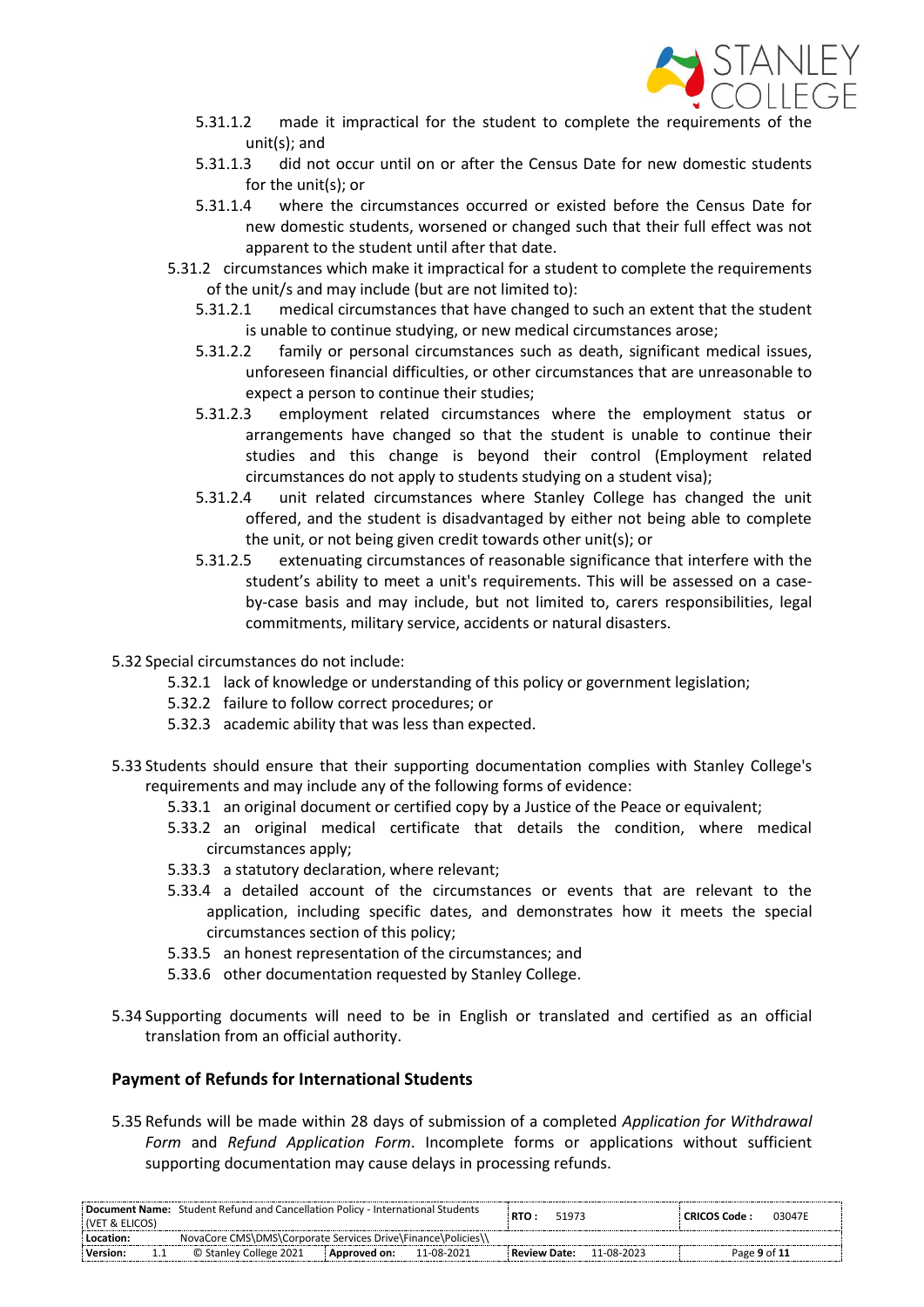

- 5.31.1.2 made it impractical for the student to complete the requirements of unit(s); and
- 5.31.1.3 did not occur until on or after the Census Date for new domestic students for the unit(s); or
- 5.31.1.4 where the circumstances occurred or existed before the Census Date for new domestic students, worsened or changed such that their full effect was not apparent to the student until after that date.
- 5.31.2 circumstances which make it impractical for a student to complete the requirements of the unit/s and may include (but are not limited to):
	- 5.31.2.1 medical circumstances that have changed to such an extent that the student is unable to continue studying, or new medical circumstances arose;
	- 5.31.2.2 family or personal circumstances such as death, significant medical issues, unforeseen financial difficulties, or other circumstances that are unreasonable to expect a person to continue their studies;
	- 5.31.2.3 employment related circumstances where the employment status or arrangements have changed so that the student is unable to continue their studies and this change is beyond their control (Employment related circumstances do not apply to students studying on a student visa);
	- 5.31.2.4 unit related circumstances where Stanley College has changed the unit offered, and the student is disadvantaged by either not being able to complete the unit, or not being given credit towards other unit(s); or
	- 5.31.2.5 extenuating circumstances of reasonable significance that interfere with the student's ability to meet a unit's requirements. This will be assessed on a caseby-case basis and may include, but not limited to, carers responsibilities, legal commitments, military service, accidents or natural disasters.
- 5.32 Special circumstances do not include:
	- 5.32.1 lack of knowledge or understanding of this policy or government legislation;
	- 5.32.2 failure to follow correct procedures; or
	- 5.32.3 academic ability that was less than expected.
- 5.33 Students should ensure that their supporting documentation complies with Stanley College's requirements and may include any of the following forms of evidence:
	- 5.33.1 an original document or certified copy by a Justice of the Peace or equivalent;
	- 5.33.2 an original medical certificate that details the condition, where medical circumstances apply;
	- 5.33.3 a statutory declaration, where relevant;
	- 5.33.4 a detailed account of the circumstances or events that are relevant to the application, including specific dates, and demonstrates how it meets the special circumstances section of this policy;
	- 5.33.5 an honest representation of the circumstances; and
	- 5.33.6 other documentation requested by Stanley College.
- 5.34 Supporting documents will need to be in English or translated and certified as an official translation from an official authority.

## **Payment of Refunds for International Students**

5.35 Refunds will be made within 28 days of submission of a completed *Application for Withdrawal Form* and *Refund Application Form*. Incomplete forms or applications without sufficient supporting documentation may cause delays in processing refunds.

| Document Name: Student Refund and Cancellation Policy - International Students<br>  (VET & ELICOS) |                        | RTO:<br>51973  |            | : CRICOS Code : | 03047F |            |              |  |
|----------------------------------------------------------------------------------------------------|------------------------|----------------|------------|-----------------|--------|------------|--------------|--|
| NovaCore CMS\DMS\Corporate Services Drive\Finance\Policies\\<br>Location:                          |                        |                |            |                 |        |            |              |  |
| Version:                                                                                           | © Stanley College 2021 | : Approved on: | 11-08-2021 | : Review Date:  |        | 11-08-2023 | Page 9 of 11 |  |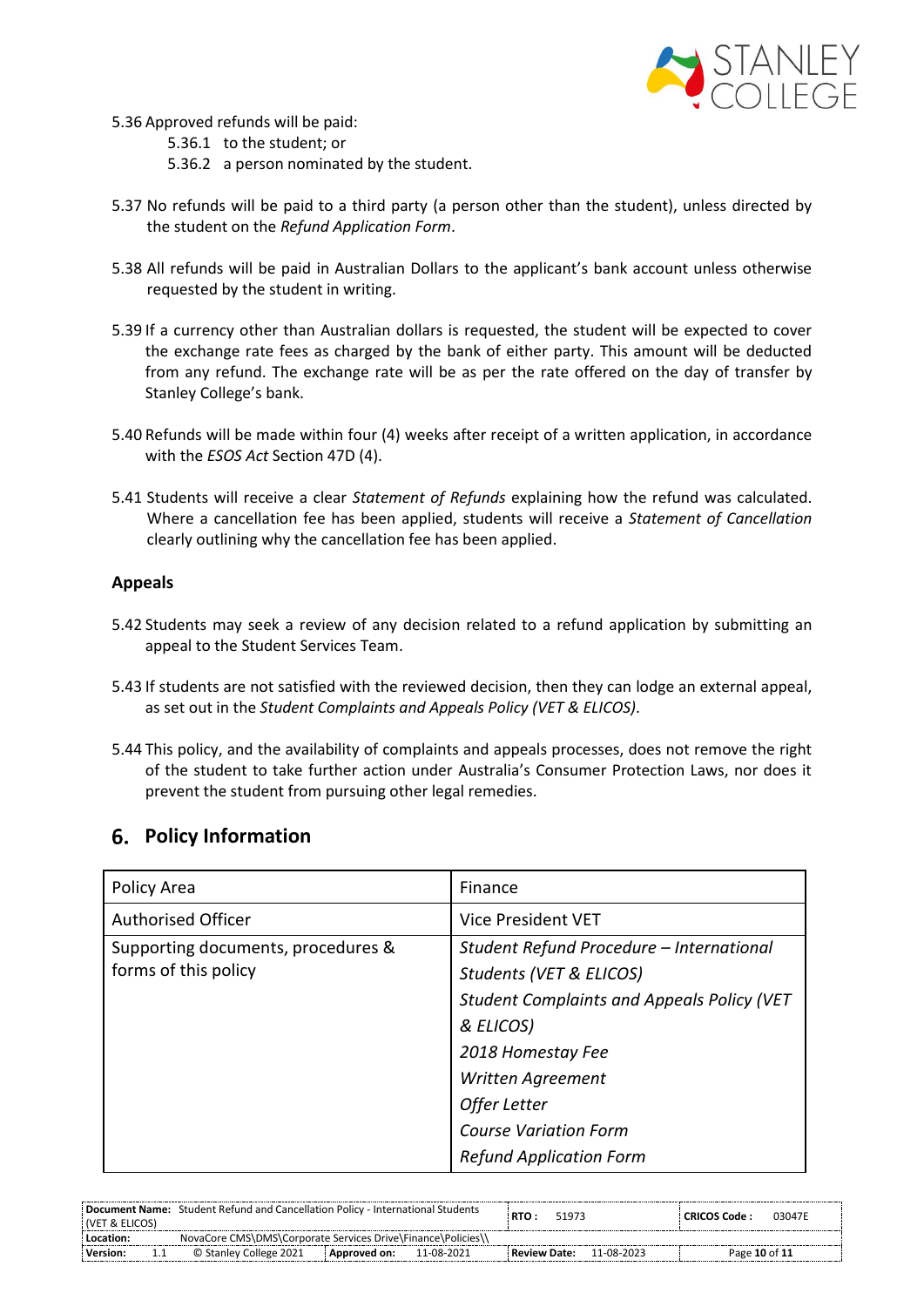

- 5.36 Approved refunds will be paid:
	- 5.36.1 to the student; or
	- 5.36.2 a person nominated by the student.
- 5.37 No refunds will be paid to a third party (a person other than the student), unless directed by the student on the *Refund Application Form*.
- 5.38 All refunds will be paid in Australian Dollars to the applicant's bank account unless otherwise requested by the student in writing.
- 5.39 If a currency other than Australian dollars is requested, the student will be expected to cover the exchange rate fees as charged by the bank of either party. This amount will be deducted from any refund. The exchange rate will be as per the rate offered on the day of transfer by Stanley College's bank.
- 5.40 Refunds will be made within four (4) weeks after receipt of a written application, in accordance with the *ESOS Act* Section 47D (4).
- 5.41 Students will receive a clear *Statement of Refunds* explaining how the refund was calculated. Where a cancellation fee has been applied, students will receive a *Statement of Cancellation* clearly outlining why the cancellation fee has been applied.

#### **Appeals**

- 5.42 Students may seek a review of any decision related to a refund application by submitting an appeal to the Student Services Team.
- 5.43 If students are not satisfied with the reviewed decision, then they can lodge an external appeal, as set out in the *Student Complaints and Appeals Policy (VET & ELICOS)*.
- 5.44 This policy, and the availability of complaints and appeals processes, does not remove the right of the student to take further action under Australia's Consumer Protection Laws, nor does it prevent the student from pursuing other legal remedies.

## **Policy Information**

| Policy Area                                                | Finance                                                                                                                                                                                                                         |
|------------------------------------------------------------|---------------------------------------------------------------------------------------------------------------------------------------------------------------------------------------------------------------------------------|
| <b>Authorised Officer</b>                                  | <b>Vice President VET</b>                                                                                                                                                                                                       |
| Supporting documents, procedures &<br>forms of this policy | Student Refund Procedure - International<br>Students (VET & ELICOS)<br><b>Student Complaints and Appeals Policy (VET</b><br>& ELICOS)<br>2018 Homestay Fee<br>Written Agreement<br>Offer Letter<br><b>Course Variation Form</b> |
|                                                            | <b>Refund Application Form</b>                                                                                                                                                                                                  |

| (VET & ELICOS) | Document Name: Student Refund and Cancellation Policy - International Students | RTO:<br>51973              | 03047E<br>: CRICOS Code : |  |
|----------------|--------------------------------------------------------------------------------|----------------------------|---------------------------|--|
| Location:      | NovaCore CMS\DMS\Corporate Services Drive\Finance\Policies\\                   |                            |                           |  |
| Version:       | © Stanley College 2021<br>11-08-2021<br>: Approved on:                         | 11-08-2023<br>Review Date: | Page 10 of 11             |  |